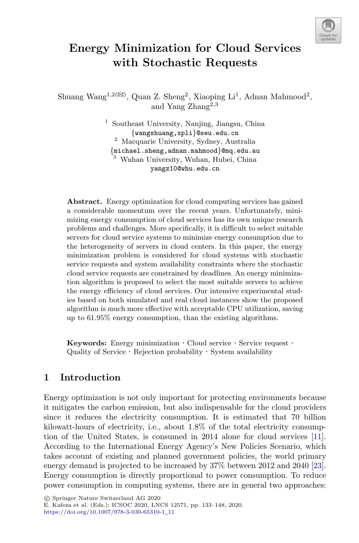

# **Energy Minimization for Cloud Services with Stochastic Requests**

Shuang Wang<sup>1,2( $\boxtimes$ )</sup>, Quan Z. Sheng<sup>2</sup>, Xiaoping Li<sup>1</sup>, Adnan Mahmood<sup>2</sup>, and Yang Zhang2,3

> <sup>1</sup> Southeast University, Nanjing, Jiangsu, China<br>{wangshuang,xpli}@seu.edu.cn <sup>2</sup> Macquarie University, Sydney, Australia  ${m$ ichael.sheng.adnan.mahmood $\$ @mq.edu.au  $3$  Wuhan University, Wuhan, Hubei, China yangz10@whu.edu.cn

**Abstract.** Energy optimization for cloud computing services has gained a considerable momentum over the recent years. Unfortunately, minimizing energy consumption of cloud services has its own unique research problems and challenges. More specifically, it is difficult to select suitable servers for cloud service systems to minimize energy consumption due to the heterogeneity of servers in cloud centers. In this paper, the energy minimization problem is considered for cloud systems with stochastic service requests and system availability constraints where the stochastic cloud service requests are constrained by deadlines. An energy minimization algorithm is proposed to select the most suitable servers to achieve the energy efficiency of cloud services. Our intensive experimental studies based on both simulated and real cloud instances show the proposed algorithm is much more effective with acceptable CPU utilization, saving up to 61.95% energy consumption, than the existing algorithms.

**Keywords:** Energy minimization  $\cdot$  Cloud service  $\cdot$  Service request  $\cdot$  Quality of Service  $\cdot$  Rejection probability  $\cdot$  System availability

## **1 Introduction**

Energy optimization is not only important for protecting environments because it mitigates the carbon emission, but also indispensable for the cloud providers since it reduces the electricity consumption. It is estimated that 70 billion kilowatt-hours of electricity, i.e., about 1.8% of the total electricity consumption of the United States, is consumed in 2014 alone for cloud services [\[11\]](#page-14-0). According to the International Energy Agency's New Policies Scenario, which takes account of existing and planned government policies, the world primary energy demand is projected to be increased by 37% between 2012 and 2040 [\[23\]](#page-15-0). Energy consumption is directly proportional to power consumption. To reduce power consumption in computing systems, there are in general two approaches:

-c Springer Nature Switzerland AG 2020 E. Kafeza et al. (Eds.): ICSOC 2020, LNCS 12571, pp. 133–148, 2020. [https://doi.org/10.1007/978-3-030-65310-1](https://doi.org/10.1007/978-3-030-65310-1_11)\_11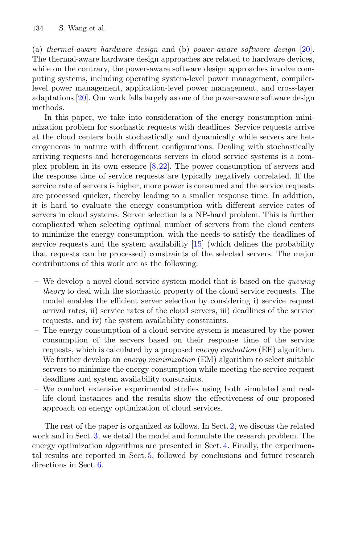(a) *thermal-aware hardware design* and (b) *power-aware software design* [\[20\]](#page-14-1). The thermal-aware hardware design approaches are related to hardware devices, while on the contrary, the power-aware software design approaches involve computing systems, including operating system-level power management, compilerlevel power management, application-level power management, and cross-layer adaptations [\[20\]](#page-14-1). Our work falls largely as one of the power-aware software design methods.

In this paper, we take into consideration of the energy consumption minimization problem for stochastic requests with deadlines. Service requests arrive at the cloud centers both stochastically and dynamically while servers are heterogeneous in nature with different configurations. Dealing with stochastically arriving requests and heterogeneous servers in cloud service systems is a complex problem in its own essence  $[8,22]$  $[8,22]$  $[8,22]$ . The power consumption of servers and the response time of service requests are typically negatively correlated. If the service rate of servers is higher, more power is consumed and the service requests are processed quicker, thereby leading to a smaller response time. In addition, it is hard to evaluate the energy consumption with different service rates of servers in cloud systems. Server selection is a NP-hard problem. This is further complicated when selecting optimal number of servers from the cloud centers to minimize the energy consumption, with the needs to satisfy the deadlines of service requests and the system availability [\[15](#page-14-3)] (which defines the probability that requests can be processed) constraints of the selected servers. The major contributions of this work are as the following:

- We develop a novel cloud service system model that is based on the *queuing theory* to deal with the stochastic property of the cloud service requests. The model enables the efficient server selection by considering i) service request arrival rates, ii) service rates of the cloud servers, iii) deadlines of the service requests, and iv) the system availability constraints.
- The energy consumption of a cloud service system is measured by the power consumption of the servers based on their response time of the service requests, which is calculated by a proposed *energy evaluation* (EE) algorithm. We further develop an *energy minimization* (EM) algorithm to select suitable servers to minimize the energy consumption while meeting the service request deadlines and system availability constraints.
- We conduct extensive experimental studies using both simulated and reallife cloud instances and the results show the effectiveness of our proposed approach on energy optimization of cloud services.

The rest of the paper is organized as follows. In Sect. [2,](#page-2-0) we discuss the related work and in Sect. [3,](#page-2-1) we detail the model and formulate the research problem. The energy optimization algorithms are presented in Sect. [4.](#page-7-0) Finally, the experimental results are reported in Sect. [5,](#page-8-0) followed by conclusions and future research directions in Sect. [6.](#page-13-0)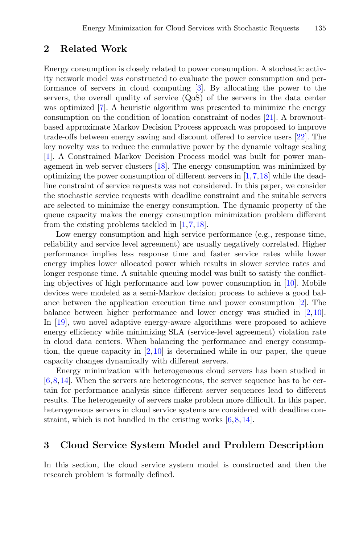#### <span id="page-2-0"></span>**2 Related Work**

Energy consumption is closely related to power consumption. A stochastic activity network model was constructed to evaluate the power consumption and performance of servers in cloud computing [\[3](#page-13-1)]. By allocating the power to the servers, the overall quality of service (QoS) of the servers in the data center was optimized [\[7\]](#page-14-4). A heuristic algorithm was presented to minimize the energy consumption on the condition of location constraint of nodes [\[21](#page-14-5)]. A brownoutbased approximate Markov Decision Process approach was proposed to improve trade-offs between energy saving and discount offered to service users [\[22](#page-15-1)]. The key novelty was to reduce the cumulative power by the dynamic voltage scaling [\[1](#page-13-2)]. A Constrained Markov Decision Process model was built for power management in web server clusters [\[18](#page-14-6)]. The energy consumption was minimized by optimizing the power consumption of different servers in  $[1,7,18]$  $[1,7,18]$  $[1,7,18]$  $[1,7,18]$  while the deadline constraint of service requests was not considered. In this paper, we consider the stochastic service requests with deadline constraint and the suitable servers are selected to minimize the energy consumption. The dynamic property of the queue capacity makes the energy consumption minimization problem different from the existing problems tackled in [\[1,](#page-13-2)[7](#page-14-4)[,18](#page-14-6)].

Low energy consumption and high service performance (e.g., response time, reliability and service level agreement) are usually negatively correlated. Higher performance implies less response time and faster service rates while lower energy implies lower allocated power which results in slower service rates and longer response time. A suitable queuing model was built to satisfy the conflicting objectives of high performance and low power consumption in [\[10\]](#page-14-7). Mobile devices were modeled as a semi-Markov decision process to achieve a good balance between the application execution time and power consumption [\[2\]](#page-13-3). The balance between higher performance and lower energy was studied in [\[2](#page-13-3),[10\]](#page-14-7). In [\[19\]](#page-14-8), two novel adaptive energy-aware algorithms were proposed to achieve energy efficiency while minimizing SLA (service-level agreement) violation rate in cloud data centers. When balancing the performance and energy consumption, the queue capacity in  $[2,10]$  $[2,10]$  $[2,10]$  is determined while in our paper, the queue capacity changes dynamically with different servers.

Energy minimization with heterogeneous cloud servers has been studied in [\[6](#page-14-9)[,8](#page-14-2),[14\]](#page-14-10). When the servers are heterogeneous, the server sequence has to be certain for performance analysis since different server sequences lead to different results. The heterogeneity of servers make problem more difficult. In this paper, heterogeneous servers in cloud service systems are considered with deadline constraint, which is not handled in the existing works [\[6,](#page-14-9)[8,](#page-14-2)[14](#page-14-10)].

## <span id="page-2-1"></span>**3 Cloud Service System Model and Problem Description**

In this section, the cloud service system model is constructed and then the research problem is formally defined.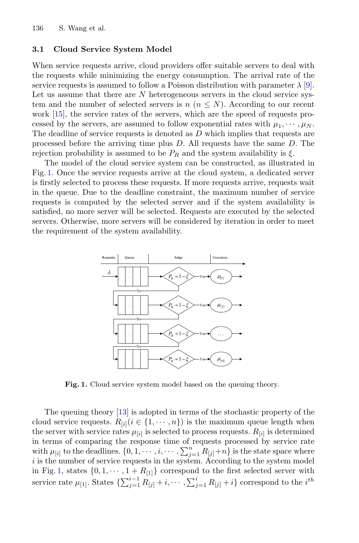#### **3.1 Cloud Service System Model**

When service requests arrive, cloud providers offer suitable servers to deal with the requests while minimizing the energy consumption. The arrival rate of the service requests is assumed to follow a Poisson distribution with parameter  $\lambda$  [\[9\]](#page-14-11). Let us assume that there are N heterogeneous servers in the cloud service system and the number of selected servers is  $n (n \leq N)$ . According to our recent work [\[15\]](#page-14-3), the service rates of the servers, which are the speed of requests processed by the servers, are assumed to follow exponential rates with  $\mu_1, \dots, \mu_N$ . The deadline of service requests is denoted as D which implies that requests are processed before the arriving time plus D. All requests have the same D. The rejection probability is assumed to be  $P_R$  and the system availability is  $\xi$ .

The model of the cloud service system can be constructed, as illustrated in Fig. [1.](#page-3-0) Once the service requests arrive at the cloud system, a dedicated server is firstly selected to process these requests. If more requests arrive, requests wait in the queue. Due to the deadline constraint, the maximum number of service requests is computed by the selected server and if the system availability is satisfied, no more server will be selected. Requests are executed by the selected servers. Otherwise, more servers will be considered by iteration in order to meet the requirement of the system availability.



<span id="page-3-0"></span>**Fig. 1.** Cloud service system model based on the queuing theory.

The queuing theory [\[13](#page-14-12)] is adopted in terms of the stochastic property of the cloud service requests.  $R_{[i]}$  ( $i \in \{1, \dots, n\}$ ) is the maximum queue length when the server with service rates  $\mu_{[i]}$  is selected to process requests.  $R_{[i]}$  is determined in terms of comparing the response time of requests processed by service rate with  $\mu_{[i]}$  to the deadlines.  $\{0, 1, \cdots, i, \cdots, \sum_{j=1}^{n} R_{[j]} + n\}$  is the state space where i is the number of service requests in the system. According to the system model in Fig. [1,](#page-3-0) states  $\{0, 1, \dots, 1 + R_{[1]}\}\)$  correspond to the first selected server with service rate  $\mu_{[1]}$ . States  $\{\sum_{j=1}^{i-1} R_{[j]} + i, \cdots, \sum_{j=1}^{i} R_{[j]} + i\}$  correspond to the  $i^{th}$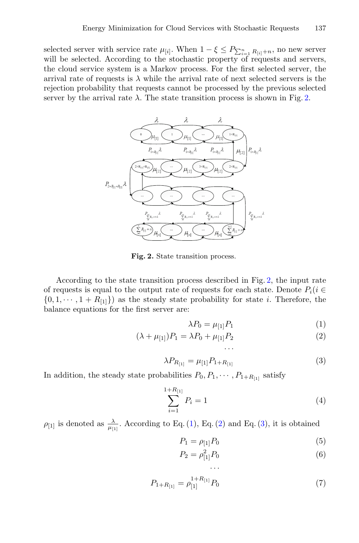selected server with service rate  $\mu_{[i]}$ . When  $1 - \xi \leq P_{\sum_{i=1}^{n} R_{[i]} + n}$ , no new server will be selected. According to the stochastic property of requests and servers, the cloud service system is a Markov process. For the first selected server, the arrival rate of requests is  $\lambda$  while the arrival rate of next selected servers is the rejection probability that requests cannot be processed by the previous selected server by the arrival rate  $\lambda$ . The state transition process is shown in Fig. [2.](#page-4-0)



<span id="page-4-0"></span>**Fig. 2.** State transition process.

According to the state transition process described in Fig. [2,](#page-4-0) the input rate of requests is equal to the output rate of requests for each state. Denote  $P_i(i \in$  $\{0, 1, \dots, 1 + R_{[1]}\}\$ as the steady state probability for state *i*. Therefore, the balance equations for the first server are:

<span id="page-4-3"></span><span id="page-4-2"></span><span id="page-4-1"></span>
$$
\lambda P_0 = \mu_{[1]} P_1 \tag{1}
$$

$$
(\lambda + \mu_{[1]})P_1 = \lambda P_0 + \mu_{[1]}P_2
$$
\n...

$$
\lambda P_{R_{[1]}} = \mu_{[1]} P_{1+R_{[1]}} \tag{3}
$$

In addition, the steady state probabilities  $P_0, P_1, \cdots, P_{1+R_{[1]}}$  satisfy

<span id="page-4-4"></span>
$$
\sum_{i=1}^{1+R_{[1]}} P_i = 1 \tag{4}
$$

 $\rho_{[1]}$  is denoted as  $\frac{\lambda}{\mu_{[1]}}$ . According to Eq. [\(1\)](#page-4-1), Eq. [\(2\)](#page-4-2) and Eq. [\(3\)](#page-4-3), it is obtained

$$
P_1 = \rho_{[1]} P_0 \tag{5}
$$

$$
P_2 = \rho_{[1]}^2 P_0 \tag{6}
$$

$$
P_{1+R_{[1]}} = \rho_{[1]}^{1+R_{[1]}} P_0 \tag{7}
$$

<span id="page-4-7"></span><span id="page-4-6"></span><span id="page-4-5"></span>···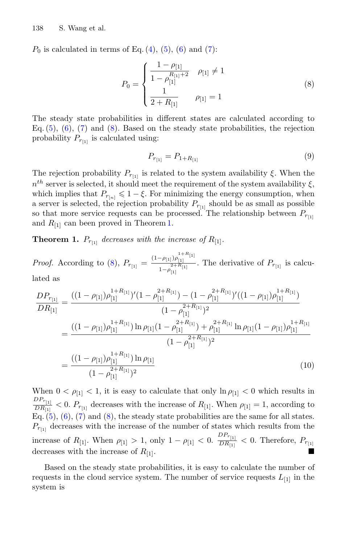$P_0$  is calculated in terms of Eq. [\(4\)](#page-4-4), [\(5\)](#page-4-5), [\(6\)](#page-4-6) and [\(7\)](#page-4-7):

<span id="page-5-0"></span>
$$
P_0 = \begin{cases} \frac{1 - \rho_{[1]}}{1 - \rho_{[1]}^{R_{[1]} + 2}} & \rho_{[1]} \neq 1\\ \frac{1}{2 + R_{[1]}} & \rho_{[1]} = 1 \end{cases}
$$
(8)

The steady state probabilities in different states are calculated according to Eq.  $(5)$ ,  $(6)$ ,  $(7)$  and  $(8)$ . Based on the steady state probabilities, the rejection probability  $P_{r_{[1]}}$  is calculated using:

<span id="page-5-2"></span>
$$
P_{r_{[1]}} = P_{1+R_{[1]}} \tag{9}
$$

The rejection probability  $P_{r_{11}}$  is related to the system availability  $\xi$ . When the  $n<sup>th</sup>$  server is selected, it should meet the requirement of the system availability  $\xi$ , which implies that  $P_{r_{[n]}} \leq 1 - \xi$ . For minimizing the energy consumption, when a server is selected, the rejection probability  $P_{r_{[1]}}$  should be as small as possible so that more service requests can be processed. The relationship between  $P_{r_{[1]}}$ and  $R_{[1]}$  can been proved in Theorem [1.](#page-5-1)

<span id="page-5-1"></span>**Theorem 1.**  $P_{r_{[1]}}$  *decreases with the increase of*  $R_{[1]}$ *.* 

*Proof.* According to [\(8\)](#page-5-0),  $P_{r_{[1]}} = \frac{(1-\rho_{[1]})\rho_{[1]}}{1-\rho_{[1]}}$  $\frac{-\rho_{[1]}\rho_{[1]}}{1-\rho_{[1]}^{2+R_{[1]}}}$ . The derivative of  $P_{r_{[1]}}$  is calcu-

lated as

$$
\frac{DP_{r_{[1]}}}{DR_{[1]}} = \frac{((1 - \rho_{[1]})\rho_{[1]}^{1 + R_{[1]}})'(1 - \rho_{[1]}^{2 + R_{[1]}}) - (1 - \rho_{[1]}^{2 + R_{[1]}})'((1 - \rho_{[1]})\rho_{[1]}^{1 + R_{[1]}})}{(1 - \rho_{[1]}^{2 + R_{[1]}})^2}
$$
\n
$$
= \frac{((1 - \rho_{[1]})\rho_{[1]}^{1 + R_{[1]}}) \ln \rho_{[1]}(1 - \rho_{[1]}^{2 + R_{[1]}}) + \rho_{[1]}^{2 + R_{[1]}} \ln \rho_{[1]}(1 - \rho_{[1]})\rho_{[1]}^{1 + R_{[1]}}}{(1 - \rho_{[1]}^{2 + R_{[1]}})^2}
$$
\n
$$
= \frac{((1 - \rho_{[1]})\rho_{[1]}^{1 + R_{[1]}}) \ln \rho_{[1]}}{(1 - \rho_{[1]}^{2 + R_{[1]}})^2}
$$
\n(10)

When  $0 < \rho_{1} < 1$ , it is easy to calculate that only  $\ln \rho_{1} < 0$  which results in  $DP_{r_{[1]}}$  $\frac{D F_{r_{[1]}}}{D R_{[1]}}$  < 0.  $P_{r_{[1]}}$  decreases with the increase of  $R_{[1]}$ . When  $\rho_{[1]} = 1$ , according to Eq.  $(5)$ ,  $(6)$ ,  $(7)$  and  $(8)$ , the steady state probabilities are the same for all states.  $P_{r_{[1]}}$  decreases with the increase of the number of states which results from the increase of  $R_{[1]}$ . When  $\rho_{[1]} > 1$ , only  $1 - \rho_{[1]} < 0$ .  $\frac{DP_{r_{[1]}}}{DR_{[1]}}$  $\frac{D F_{r_{[1]}}}{D R_{[1]}} < 0$ . Therefore,  $P_{r_{[1]}}$ decreases with the increase of  $R_{[1]}$ .

Based on the steady state probabilities, it is easy to calculate the number of requests in the cloud service system. The number of service requests  $L_{[1]}$  in the system is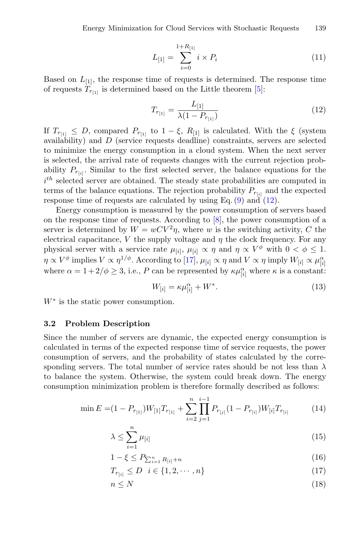$$
L_{[1]} = \sum_{i=0}^{1+R_{[1]}} i \times P_i
$$
\n(11)

Based on  $L_{[1]}$ , the response time of requests is determined. The response time of requests  $T_{r_{[1]}}$  is determined based on the Little theorem [\[5](#page-14-13)]:

<span id="page-6-0"></span>
$$
T_{r_{[1]}} = \frac{L_{[1]}}{\lambda (1 - P_{r_{[1]}})}\tag{12}
$$

If  $T_{r_{[1]}} \leq D$ , compared  $P_{r_{[1]}}$  to  $1 - \xi$ ,  $R_{[1]}$  is calculated. With the  $\xi$  (system availability) and  $D$  (service requests deadline) constraints, servers are selected to minimize the energy consumption in a cloud system. When the next server is selected, the arrival rate of requests changes with the current rejection probability  $P_{r_{i,i}}$ . Similar to the first selected server, the balance equations for the  $i^{th}$  selected server are obtained. The steady state probabilities are computed in terms of the balance equations. The rejection probability  $P_{r_{[i]}}$  and the expected response time of requests are calculated by using Eq. [\(9\)](#page-5-2) and [\(12\)](#page-6-0).

Energy consumption is measured by the power consumption of servers based on the response time of requests. According to [\[8\]](#page-14-2), the power consumption of a server is determined by  $W = wCV^2\eta$ , where w is the switching activity, C the electrical capacitance, V the supply voltage and  $\eta$  the clock frequency. For any physical server with a service rate  $\mu_{[i]}$ ,  $\mu_{[i]} \propto \eta$  and  $\eta \propto V^{\phi}$  with  $0 < \phi \leq 1$ .  $\eta \propto V^{\phi}$  implies  $V \propto \eta^{1/\phi}$ . According to [\[17](#page-14-14)],  $\mu_{[i]} \propto \eta$  and  $V \propto \eta$  imply  $W_{[i]} \propto \mu_{[i]}^{\alpha}$ where  $\alpha = 1 + 2/\phi \geq 3$ , i.e., P can be represented by  $\kappa \mu_{[i]}^{\alpha}$  where  $\kappa$  is a constant:

<span id="page-6-1"></span>
$$
W_{[i]} = \kappa \mu_{[i]}^{\alpha} + W^*.
$$
\n(13)

 $W^*$  is the static power consumption.

#### **3.2 Problem Description**

Since the number of servers are dynamic, the expected energy consumption is calculated in terms of the expected response time of service requests, the power consumption of servers, and the probability of states calculated by the corresponding servers. The total number of service rates should be not less than  $\lambda$ to balance the system. Otherwise, the system could break down. The energy consumption minimization problem is therefore formally described as follows:

$$
\min E = (1 - P_{r_{[1]}})W_{[1]}T_{r_{[1]}} + \sum_{i=2}^{n} \prod_{j=1}^{i-1} P_{r_{[j]}}(1 - P_{r_{[i]}})W_{[i]}T_{r_{[i]}} \tag{14}
$$

$$
\lambda \le \sum_{i=1}^{n} \mu_{[i]} \tag{15}
$$

$$
1 - \xi \le P_{\sum_{i=1}^{n} R_{[i]} + n} \tag{16}
$$

$$
T_{r_{[i]}} \le D \quad i \in \{1, 2, \cdots, n\} \tag{17}
$$

 $n \leq N$  (18)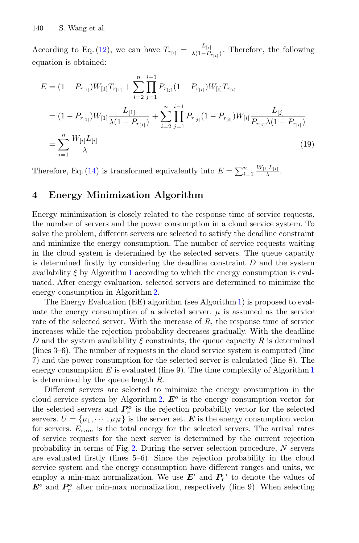According to Eq. [\(12\)](#page-6-0), we can have  $T_{r_{[i]}} = \frac{L_{[i]}}{\lambda(1-P_{r_{[i]}})}$ . Therefore, the following equation is obtained:

$$
E = (1 - P_{r_{[1]}})W_{[1]}T_{r_{[1]}} + \sum_{i=2}^{n} \prod_{j=1}^{i-1} P_{r_{[j]}}(1 - P_{r_{[i]}})W_{[i]}T_{r_{[i]}}
$$
  
\n
$$
= (1 - P_{r_{[1]}})W_{[1]} \frac{L_{[1]}}{\lambda(1 - P_{r_{[1]}})} + \sum_{i=2}^{n} \prod_{j=1}^{i-1} P_{r_{[j]}}(1 - P_{r_{[i]}})W_{[i]} \frac{L_{[j]}}{P_{r_{[j]}}\lambda(1 - P_{r_{[i]}})}
$$
  
\n
$$
= \sum_{i=1}^{n} \frac{W_{[i]}L_{[i]}}{\lambda} \tag{19}
$$

Therefore, Eq. [\(14\)](#page-6-1) is transformed equivalently into  $E = \sum_{i=1}^{n} \frac{W_{[i]} L_{[i]}}{\lambda}$ .

## <span id="page-7-0"></span>**4 Energy Minimization Algorithm**

Energy minimization is closely related to the response time of service requests, the number of servers and the power consumption in a cloud service system. To solve the problem, different servers are selected to satisfy the deadline constraint and minimize the energy consumption. The number of service requests waiting in the cloud system is determined by the selected servers. The queue capacity is determined firstly by considering the deadline constraint  $D$  and the system availability  $\xi$  by Algorithm [1](#page-8-1) according to which the energy consumption is evaluated. After energy evaluation, selected servers are determined to minimize the energy consumption in Algorithm [2.](#page-9-0)

The Energy Evaluation (EE) algorithm (see Algorithm [1\)](#page-8-1) is proposed to evaluate the energy consumption of a selected server.  $\mu$  is assumed as the service rate of the selected server. With the increase of  $R$ , the response time of service increases while the rejection probability decreases gradually. With the deadline D and the system availability  $\xi$  constraints, the queue capacity R is determined (lines 3–6). The number of requests in the cloud service system is computed (line 7) and the power consumption for the selected server is calculated (line 8). The energy consumption  $E$  is evaluated (line 9). The time complexity of Algorithm [1](#page-8-1) is determined by the queue length R.

Different servers are selected to minimize the energy consumption in the cloud service system by Algorithm [2.](#page-9-0)  $E^{\circ}$  is the energy consumption vector for the selected servers and  $P_r^o$  is the rejection probability vector for the selected servers.  $U = {\mu_1, \cdots, \mu_N}$  is the server set. **E** is the energy consumption vector for servers.  $E_{sum}$  is the total energy for the selected servers. The arrival rates of service requests for the next server is determined by the current rejection probability in terms of Fig.  $2$ . During the server selection procedure,  $N$  servers are evaluated firstly (lines 5–6). Since the rejection probability in the cloud service system and the energy consumption have different ranges and units, we employ a min-max normalization. We use  $E'$  and  $P'_r$  to denote the values of  $E^o$  and  $P_r^o$  after min-max normalization, respectively (line 9). When selecting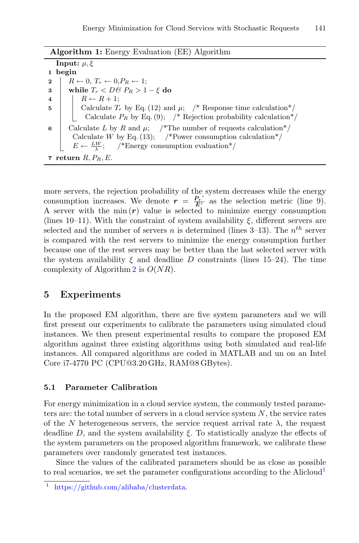<span id="page-8-1"></span>

| <b>Algorithm 1:</b> Energy Evaluation (EE) Algorithm                        |
|-----------------------------------------------------------------------------|
| Input: $\mu$ , $\xi$                                                        |
| 1 begin                                                                     |
| $R \leftarrow 0, T_r \leftarrow 0, P_R \leftarrow 1;$<br>$\mathbf{2}$       |
| while $T_r < D\mathcal{B} P_R > 1 - \xi$ do<br>3                            |
| $R \leftarrow R + 1$ :<br>$\overline{4}$                                    |
| Calculate $T_r$ by Eq. (12) and $\mu$ ; /* Response time calculation*/<br>5 |
| Calculate $P_R$ by Eq. (9); /* Rejection probability calculation*/          |
| Calculate L by R and $\mu$ ; /*The number of requests calculation*/<br>6    |
| Calculate W by Eq. (13); /*Power consumption calculation*/                  |
| $E \leftarrow \frac{LW}{\lambda}$ ; /*Energy consumption evaluation*/       |
| 7 return $R, P_R, E$ .                                                      |

more servers, the rejection probability of the system decreases while the energy consumption increases. We denote  $r = \frac{P_r'}{E'}$  as the selection metric (line 9). A server with the min $(r)$  value is selected to minimize energy consumption (lines 10–11). With the constraint of system availability  $\xi$ , different servers are selected and the number of servers n is determined (lines  $3-13$ ). The  $n<sup>th</sup>$  server is compared with the rest servers to minimize the energy consumption further because one of the rest servers may be better than the last selected server with the system availability  $\xi$  and deadline D constraints (lines 15–24). The time complexity of Algorithm [2](#page-9-0) is  $O(NR)$ .

## <span id="page-8-0"></span>**5 Experiments**

In the proposed EM algorithm, there are five system parameters and we will first present our experiments to calibrate the parameters using simulated cloud instances. We then present experimental results to compare the proposed EM algorithm against three existing algorithms using both simulated and real-life instances. All compared algorithms are coded in MATLAB and un on an Intel Core i7-4770 PC (CPU@3.20 GHz, RAM@8 GBytes).

#### <span id="page-8-3"></span>**5.1 Parameter Calibration**

For energy minimization in a cloud service system, the commonly tested parameters are: the total number of servers in a cloud service system  $N$ , the service rates of the N heterogeneous servers, the service request arrival rate  $\lambda$ , the request deadline D, and the system availability  $\xi$ . To statistically analyze the effects of the system parameters on the proposed algorithm framework, we calibrate these parameters over randomly generated test instances.

Since the values of the calibrated parameters should be as close as possible to real scenarios, we set the parameter configurations according to the Alicloud<sup>[1](#page-8-2)</sup>

<span id="page-8-2"></span>[https://github.com/alibaba/clusterdata.](https://github.com/alibaba/clusterdata)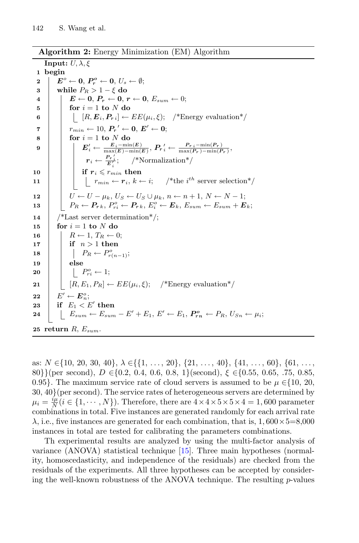<span id="page-9-0"></span>**Algorithm 2:** Energy Minimization (EM) Algorithm

**Input:**  $U, \lambda, \xi$ **1 begin**  $\mathbf{Z} \quad \left| \quad \mathbf{E}^o \leftarrow \mathbf{0}, \, \mathbf{P}_r^o \leftarrow \mathbf{0}, \, U_s \leftarrow \emptyset; \right.$ **3 while**  $P_R > 1 - \xi$  **do**<br>**4 E**  $\leftarrow$  **0 P**<sub>n</sub> $\leftarrow$  **0 1**  $\begin{array}{|l|l|} \hline \textbf{4} & E \leftarrow \textbf{0}, \textbf{\textit{P}}_r \leftarrow \textbf{0}, \textbf{\textit{r}} \leftarrow \textbf{0}, \textbf{\textit{E}}_{sum} \leftarrow 0; \ \hline \textbf{for} \textbf{\textit{i}} = 1 \textbf{ to } N \textbf{ do} \end{array}$  $f$ **or**  $i = 1$  **to**  $N$  **do 6**  $\left| \begin{array}{c} | \end{array} \right|$   $[R, E_i, P_{ri}] \leftarrow EE(\mu_i, \xi);$  /\*Energy evaluation\*/  $\tau$   $r_{min} \leftarrow 10, P_r' \leftarrow 0, E' \leftarrow 0;$  $\mathbf{8}$  **for**  $i = 1$  **to** N **do**  $\mathcal{B} \quad \bigg| \qquad \bigg| \qquad E'_i \leftarrow \frac{E_i - \min(E)}{\max(E) - \min(E)}, \ P_r'_{i} \leftarrow \frac{P_{r~i} - \min(P_r)}{\max(P_r) - \min(P_r)},$  $r_i \leftarrow \frac{P_{r,i}}{E'_i};$  /\*Normalization\*/  $\begin{array}{|c|c|c|c|}\n\hline\n\textbf{10} & & \textbf{if} & \textbf{r}_i \leqslant r_{min} & \textbf{then} \end{array}$ **<sup>11</sup>** rmin ← *r*i, k ← i; /\*the i th server selection\*/ **12**  $U \leftarrow U - \mu_k$ ,  $U_S \leftarrow U_S \cup \mu_k$ ,  $n \leftarrow n+1$ ,  $N \leftarrow N-1$ ;<br> **13**  $P_R \leftarrow P_{rk}$ ,  $P_{si}^o \leftarrow P_{rk}$ ,  $E_i^o \leftarrow E_k$ ,  $E_{sum} \leftarrow E_{sum} + E_{min}$  $\begin{array}{l} \textbf{13} \end{array} \left[ \begin{array}{c} \end{array} \right] \left[ \begin{array}{c} P_R \leftarrow \textbf{\textit{P}}_r \textit{k}, \, P_{ri}^o \leftarrow \textbf{\textit{P}}_r \textit{k}, \, E^o_i \leftarrow \textbf{\textit{E}}_k, \, E_{sum} \leftarrow E_{sum} + \textbf{\textit{E}}_k \textit{E}_k \right] \end{array} \right]$ **14** /\*Last server determination\*/;  $\mathbf{15}$  **for**  $i = 1$  **to** N **do**  $\begin{array}{c|c} \n\mathbf{16} & R \leftarrow 1, T_R \leftarrow 0; \\
\mathbf{17} & \mathbf{if} \quad n > 1 \text{ then}\n\end{array}$ **if**  $n > 1$  **then**  $\begin{array}{|c|c|c|c|}\n\hline\n18 & 16 \\
\hline\n\end{array} \begin{array}{|c|c|c|c|}\n\hline\nPR & \leftarrow P_{r(n-1)}^o; \\\hline\n\end{array}$ **19 else 20**  $\left| \begin{array}{c} \end{array} \right| \left| \begin{array}{c} P_{ri}^o \leftarrow 1; \end{array} \right|$ **21**  $\left| \begin{array}{c} | \end{array} \right|$   $[R, E_1, P_R] \leftarrow EE(\mu_i, \xi);$  /\*Energy evaluation\*/  $\mathbf{22}$   $\left| \begin{array}{c} E' \leftarrow E_n^o; \ \mathbf{E} \end{array} \right.$  $\textbf{23} \quad | \quad \textbf{if} \quad E_1 < E' \textbf{ then}$ **24**  $\left[ \begin{array}{c} E_{sum} \leftarrow E_{sum} - E' + E_1, E' \leftarrow E_1, P_{rn}^o \leftarrow P_R, U_{Sn} \leftarrow \mu_i; \end{array} \right]$ 25 **return**  $R$ ,  $E_{sum}$ .

as:  $N \in \{10, 20, 30, 40\}, \lambda \in \{\{1, \ldots, 20\}, \{21, \ldots, 40\}, \{41, \ldots, 60\}, \{61, \ldots,$ 80}}(per second), D ∈{0.2, 0.4, 0.6, 0.8, 1}(second),  $\xi$  ∈{0.55, 0.65, .75, 0.85, 0.95}. The maximum service rate of cloud servers is assumed to be  $\mu \in \{10, 20, \ldots\}$ 30, 40}(per second). The service rates of heterogeneous servers are determined by  $\mu_i = \frac{i\mu}{N} (i \in \{1, \cdots, N\})$ . Therefore, there are  $4 \times 4 \times 5 \times 5 \times 4 = 1,600$  parameter combinations in total. Five instances are generated randomly for each arrival rate  $\lambda$ , i.e., five instances are generated for each combination, that is, 1,600 $\times$ 5=8,000 instances in total are tested for calibrating the parameters combinations.

Th experimental results are analyzed by using the multi-factor analysis of variance (ANOVA) statistical technique [\[15\]](#page-14-3). Three main hypotheses (normality, homoscedasticity, and independence of the residuals) are checked from the residuals of the experiments. All three hypotheses can be accepted by considering the well-known robustness of the ANOVA technique. The resulting  $p$ -values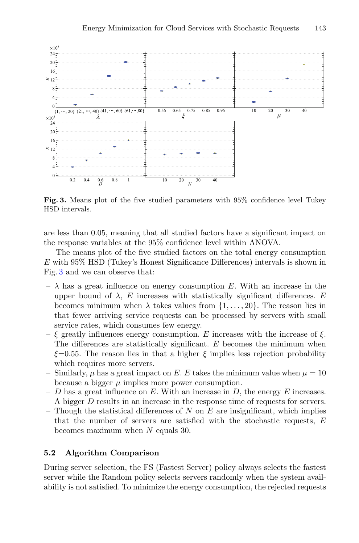

<span id="page-10-0"></span>**Fig. 3.** Means plot of the five studied parameters with 95% confidence level Tukey HSD intervals.

are less than 0.05, meaning that all studied factors have a significant impact on the response variables at the 95% confidence level within ANOVA.

The means plot of the five studied factors on the total energy consumption E with 95% HSD (Tukey's Honest Significance Differences) intervals is shown in Fig. [3](#page-10-0) and we can observe that:

- $\lambda$  has a great influence on energy consumption E. With an increase in the upper bound of  $\lambda$ , E increases with statistically significant differences. E becomes minimum when  $\lambda$  takes values from  $\{1,\ldots,20\}$ . The reason lies in that fewer arriving service requests can be processed by servers with small service rates, which consumes few energy.
- ξ greatly influences energy consumption. E increases with the increase of ξ. The differences are statistically significant. E becomes the minimum when  $\xi$ =0.55. The reason lies in that a higher  $\xi$  implies less rejection probability which requires more servers.
- Similarly,  $\mu$  has a great impact on E. E takes the minimum value when  $\mu = 10$ because a bigger  $\mu$  implies more power consumption.
- D has a great influence on E. With an increase in D, the energy E increases. A bigger D results in an increase in the response time of requests for servers.
- Though the statistical differences of N on E are insignificant, which implies that the number of servers are satisfied with the stochastic requests, E becomes maximum when N equals 30.

#### **5.2 Algorithm Comparison**

During server selection, the FS (Fastest Server) policy always selects the fastest server while the Random policy selects servers randomly when the system availability is not satisfied. To minimize the energy consumption, the rejected requests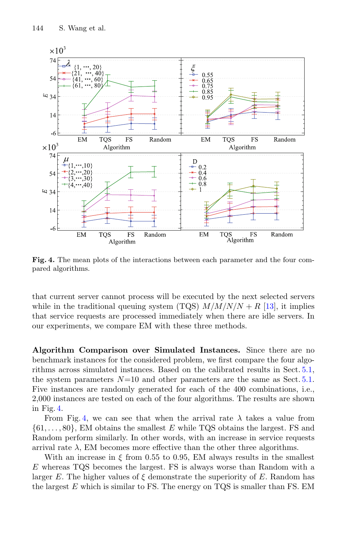

<span id="page-11-0"></span>**Fig. 4.** The mean plots of the interactions between each parameter and the four compared algorithms.

that current server cannot process will be executed by the next selected servers while in the traditional queuing system (TQS)  $M/M/N/N + R$  [\[13](#page-14-12)], it implies that service requests are processed immediately when there are idle servers. In our experiments, we compare EM with these three methods.

**Algorithm Comparison over Simulated Instances.** Since there are no benchmark instances for the considered problem, we first compare the four algorithms across simulated instances. Based on the calibrated results in Sect. [5.1,](#page-8-3) the system parameters  $N=10$  and other parameters are the same as Sect. [5.1.](#page-8-3) Five instances are randomly generated for each of the 400 combinations, i.e., 2,000 instances are tested on each of the four algorithms. The results are shown in Fig. [4.](#page-11-0)

From Fig. [4,](#page-11-0) we can see that when the arrival rate  $\lambda$  takes a value from  $\{61,\ldots,80\}$ , EM obtains the smallest E while TQS obtains the largest. FS and Random perform similarly. In other words, with an increase in service requests arrival rate  $\lambda$ , EM becomes more effective than the other three algorithms.

With an increase in  $\xi$  from 0.55 to 0.95, EM always results in the smallest E whereas TQS becomes the largest. FS is always worse than Random with a larger E. The higher values of  $\xi$  demonstrate the superiority of E. Random has the largest  $E$  which is similar to FS. The energy on TQS is smaller than FS. EM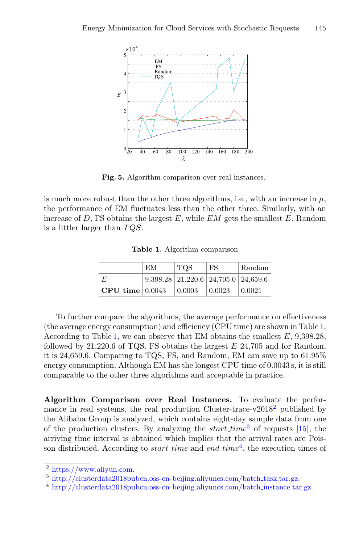

<span id="page-12-4"></span>**Fig. 5.** Algorithm comparison over real instances.

is much more robust than the other three algorithms, i.e., with an increase in  $\mu$ , the performance of EM fluctuates less than the other three. Similarly, with an increase of  $D$ , FS obtains the largest  $E$ , while  $EM$  gets the smallest  $E$ . Random is a littler larger than  $TQS$ .

|                   | EМ | TOS    | FS                                                   | Random |
|-------------------|----|--------|------------------------------------------------------|--------|
| E                 |    |        | $9,398.28 \mid 21,220.6 \mid 24,705.0 \mid 24,659.6$ |        |
| CPU time $0.0043$ |    | 0.0003 | 0.0023                                               | 0.0021 |

<span id="page-12-0"></span>**Table 1.** Algorithm comparison

To further compare the algorithms, the average performance on effectiveness (the average energy consumption) and efficiency (CPU time) are shown in Table [1.](#page-12-0) According to Table [1,](#page-12-0) we can observe that EM obtains the smallest  $E$ , 9,398.28, followed by  $21,220.6$  of TQS. FS obtains the largest  $E$  24,705 and for Random, it is 24,659.6. Comparing to TQS, FS, and Random, EM can save up to 61.95% energy consumption. Although EM has the longest CPU time of 0.0043 s, it is still comparable to the other three algorithms and acceptable in practice.

**Algorithm Comparison over Real Instances.** To evaluate the perfor-mance in real systems, the real production Cluster-trace-v[2](#page-12-1)018<sup>2</sup> published by the Alibaba Group is analyzed, which contains eight-day sample data from one of the production clusters. By analyzing the *start time*<sup>[3](#page-12-2)</sup> of requests [\[15\]](#page-14-3), the arriving time interval is obtained which implies that the arrival rates are Poisson distributed. According to *start time* and end time<sup>[4](#page-12-3)</sup>, the execution times of

<span id="page-12-1"></span> $\sqrt[2]{\text{https://www.aliyun.com}}$ .

<span id="page-12-2"></span><sup>3</sup> [http://clusterdata2018pubcn.oss-cn-beijing.aliyuncs.com/batch](http://clusterdata2018pubcn.oss-cn-beijing.aliyuncs.com/batch_task.tar.gz) task.tar.gz.

<span id="page-12-3"></span><sup>&</sup>lt;sup>4</sup> [http://clusterdata2018pubcn.oss-cn-beijing.aliyuncs.com/batch](http://clusterdata2018pubcn.oss-cn-beijing.aliyuncs.com/batch_instance.tar.gz)\_instance.tar.gz.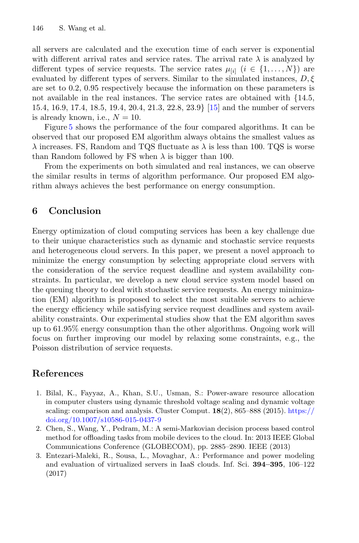all servers are calculated and the execution time of each server is exponential with different arrival rates and service rates. The arrival rate  $\lambda$  is analyzed by different types of service requests. The service rates  $\mu_{[i]}$  ( $i \in \{1,\ldots,N\}$ ) are evaluated by different types of servers. Similar to the simulated instances,  $D, \xi$ are set to 0.2, 0.95 respectively because the information on these parameters is not available in the real instances. The service rates are obtained with {14.5, 15.4, 16.9, 17.4, 18.5, 19.4, 20.4, 21.3, 22.8, 23.9} [\[15\]](#page-14-3) and the number of servers is already known, i.e.,  $N = 10$ .

Figure [5](#page-12-4) shows the performance of the four compared algorithms. It can be observed that our proposed EM algorithm always obtains the smallest values as  $\lambda$  increases. FS, Random and TQS fluctuate as  $\lambda$  is less than 100. TQS is worse than Random followed by FS when  $\lambda$  is bigger than 100.

From the experiments on both simulated and real instances, we can observe the similar results in terms of algorithm performance. Our proposed EM algorithm always achieves the best performance on energy consumption.

# <span id="page-13-0"></span>**6 Conclusion**

Energy optimization of cloud computing services has been a key challenge due to their unique characteristics such as dynamic and stochastic service requests and heterogeneous cloud servers. In this paper, we present a novel approach to minimize the energy consumption by selecting appropriate cloud servers with the consideration of the service request deadline and system availability constraints. In particular, we develop a new cloud service system model based on the queuing theory to deal with stochastic service requests. An energy minimization (EM) algorithm is proposed to select the most suitable servers to achieve the energy efficiency while satisfying service request deadlines and system availability constraints. Our experimental studies show that the EM algorithm saves up to 61.95% energy consumption than the other algorithms. Ongoing work will focus on further improving our model by relaxing some constraints, e.g., the Poisson distribution of service requests.

# **References**

- <span id="page-13-2"></span>1. Bilal, K., Fayyaz, A., Khan, S.U., Usman, S.: Power-aware resource allocation in computer clusters using dynamic threshold voltage scaling and dynamic voltage scaling: comparison and analysis. Cluster Comput. **18**(2), 865–888 (2015). [https://](https://doi.org/10.1007/s10586-015-0437-9) [doi.org/10.1007/s10586-015-0437-9](https://doi.org/10.1007/s10586-015-0437-9)
- <span id="page-13-3"></span>2. Chen, S., Wang, Y., Pedram, M.: A semi-Markovian decision process based control method for offloading tasks from mobile devices to the cloud. In: 2013 IEEE Global Communications Conference (GLOBECOM), pp. 2885–2890. IEEE (2013)
- <span id="page-13-1"></span>3. Entezari-Maleki, R., Sousa, L., Movaghar, A.: Performance and power modeling and evaluation of virtualized servers in IaaS clouds. Inf. Sci. **394–395**, 106–122 (2017)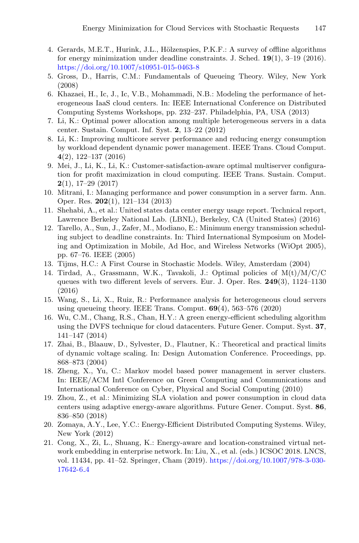- 4. Gerards, M.E.T., Hurink, J.L., Hölzenspies, P.K.F.: A survey of offline algorithms for energy minimization under deadline constraints. J. Sched. **19**(1), 3–19 (2016). <https://doi.org/10.1007/s10951-015-0463-8>
- <span id="page-14-13"></span>5. Gross, D., Harris, C.M.: Fundamentals of Queueing Theory. Wiley, New York (2008)
- <span id="page-14-9"></span>6. Khazaei, H., Ic, J., Ic, V.B., Mohammadi, N.B.: Modeling the performance of heterogeneous IaaS cloud centers. In: IEEE International Conference on Distributed Computing Systems Workshops, pp. 232–237. Philadelphia, PA, USA (2013)
- <span id="page-14-4"></span>7. Li, K.: Optimal power allocation among multiple heterogeneous servers in a data center. Sustain. Comput. Inf. Syst. **2**, 13–22 (2012)
- <span id="page-14-2"></span>8. Li, K.: Improving multicore server performance and reducing energy consumption by workload dependent dynamic power management. IEEE Trans. Cloud Comput. **4**(2), 122–137 (2016)
- <span id="page-14-11"></span>9. Mei, J., Li, K., Li, K.: Customer-satisfaction-aware optimal multiserver configuration for profit maximization in cloud computing. IEEE Trans. Sustain. Comput. **2**(1), 17–29 (2017)
- <span id="page-14-7"></span>10. Mitrani, I.: Managing performance and power consumption in a server farm. Ann. Oper. Res. **202**(1), 121–134 (2013)
- <span id="page-14-0"></span>11. Shehabi, A., et al.: United states data center energy usage report. Technical report, Lawrence Berkeley National Lab. (LBNL), Berkeley, CA (United States) (2016)
- 12. Tarello, A., Sun, J., Zafer, M., Modiano, E.: Minimum energy transmission scheduling subject to deadline constraints. In: Third International Symposium on Modeling and Optimization in Mobile, Ad Hoc, and Wireless Networks (WiOpt 2005), pp. 67–76. IEEE (2005)
- <span id="page-14-12"></span>13. Tijms, H.C.: A First Course in Stochastic Models. Wiley, Amsterdam (2004)
- <span id="page-14-10"></span>14. Tirdad, A., Grassmann, W.K., Tavakoli, J.: Optimal policies of  $M(t)/M/C/C$ queues with two different levels of servers. Eur. J. Oper. Res. **249**(3), 1124–1130 (2016)
- <span id="page-14-3"></span>15. Wang, S., Li, X., Ruiz, R.: Performance analysis for heterogeneous cloud servers using queueing theory. IEEE Trans. Comput. **69**(4), 563–576 (2020)
- 16. Wu, C.M., Chang, R.S., Chan, H.Y.: A green energy-efficient scheduling algorithm using the DVFS technique for cloud datacenters. Future Gener. Comput. Syst. **37**, 141–147 (2014)
- <span id="page-14-14"></span>17. Zhai, B., Blaauw, D., Sylvester, D., Flautner, K.: Theoretical and practical limits of dynamic voltage scaling. In: Design Automation Conference. Proceedings, pp. 868–873 (2004)
- <span id="page-14-6"></span>18. Zheng, X., Yu, C.: Markov model based power management in server clusters. In: IEEE/ACM Intl Conference on Green Computing and Communications and International Conference on Cyber, Physical and Social Computing (2010)
- <span id="page-14-8"></span>19. Zhou, Z., et al.: Minimizing SLA violation and power consumption in cloud data centers using adaptive energy-aware algorithms. Future Gener. Comput. Syst. **86**, 836–850 (2018)
- <span id="page-14-1"></span>20. Zomaya, A.Y., Lee, Y.C.: Energy-Efficient Distributed Computing Systems. Wiley, New York (2012)
- <span id="page-14-5"></span>21. Cong, X., Zi, L., Shuang, K.: Energy-aware and location-constrained virtual network embedding in enterprise network. In: Liu, X., et al. (eds.) ICSOC 2018. LNCS, vol. 11434, pp. 41–52. Springer, Cham (2019). [https://doi.org/10.1007/978-3-030-](https://doi.org/10.1007/978-3-030-17642-6_4) [17642-6](https://doi.org/10.1007/978-3-030-17642-6_4) 4